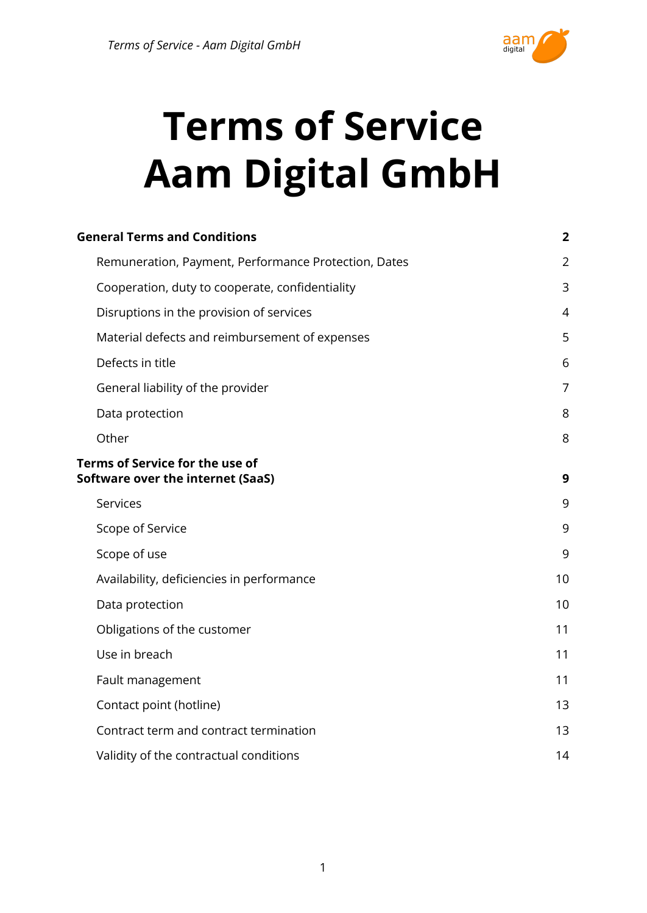

# **Terms of Service Aam Digital GmbH**

| <b>General Terms and Conditions</b>                                  | $\overline{2}$ |
|----------------------------------------------------------------------|----------------|
| Remuneration, Payment, Performance Protection, Dates                 | $\overline{2}$ |
| Cooperation, duty to cooperate, confidentiality                      | 3              |
| Disruptions in the provision of services                             | $\overline{4}$ |
| Material defects and reimbursement of expenses                       | 5              |
| Defects in title                                                     | 6              |
| General liability of the provider                                    | $\overline{7}$ |
| Data protection                                                      | 8              |
| Other                                                                | 8              |
| Terms of Service for the use of<br>Software over the internet (SaaS) | 9              |
| Services                                                             | 9              |
| Scope of Service                                                     | 9              |
| Scope of use                                                         | 9              |
| Availability, deficiencies in performance                            | 10             |
| Data protection                                                      | 10             |
| Obligations of the customer                                          | 11             |
| Use in breach                                                        | 11             |
| Fault management                                                     | 11             |
| Contact point (hotline)                                              | 13             |
| Contract term and contract termination                               | 13             |
| Validity of the contractual conditions                               | 14             |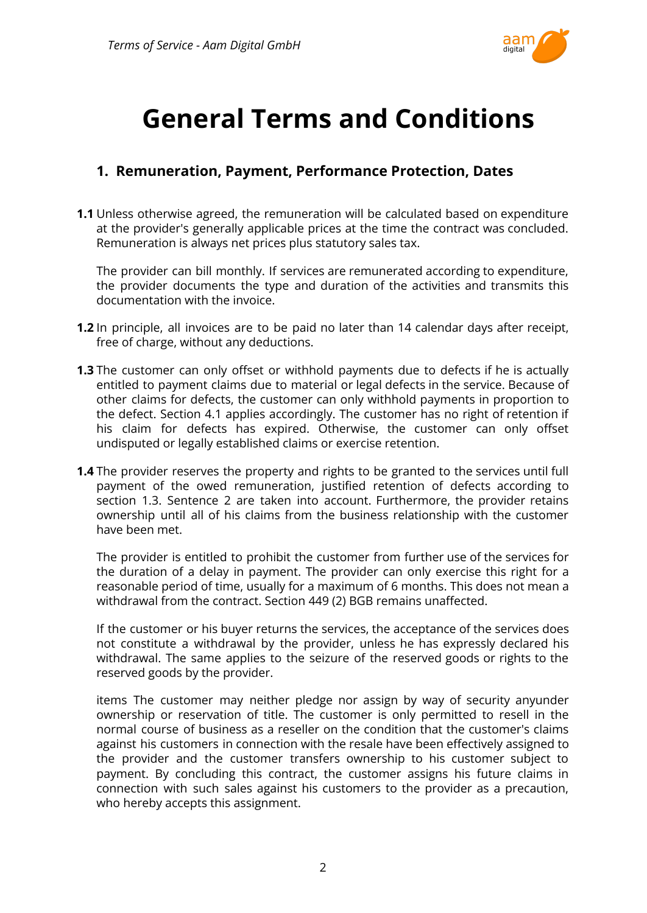

# <span id="page-1-0"></span>**General Terms and Conditions**

## <span id="page-1-1"></span>**1. Remuneration, Payment, Performance Protection, Dates**

**1.1** Unless otherwise agreed, the remuneration will be calculated based on expenditure at the provider's generally applicable prices at the time the contract was concluded. Remuneration is always net prices plus statutory sales tax.

The provider can bill monthly. If services are remunerated according to expenditure, the provider documents the type and duration of the activities and transmits this documentation with the invoice.

- **1.2** In principle, all invoices are to be paid no later than 14 calendar days after receipt, free of charge, without any deductions.
- **1.3** The customer can only offset or withhold payments due to defects if he is actually entitled to payment claims due to material or legal defects in the service. Because of other claims for defects, the customer can only withhold payments in proportion to the defect. Section 4.1 applies accordingly. The customer has no right of retention if his claim for defects has expired. Otherwise, the customer can only offset undisputed or legally established claims or exercise retention.
- **1.4** The provider reserves the property and rights to be granted to the services until full payment of the owed remuneration, justified retention of defects according to section 1.3. Sentence 2 are taken into account. Furthermore, the provider retains ownership until all of his claims from the business relationship with the customer have been met.

The provider is entitled to prohibit the customer from further use of the services for the duration of a delay in payment. The provider can only exercise this right for a reasonable period of time, usually for a maximum of 6 months. This does not mean a withdrawal from the contract. Section 449 (2) BGB remains unaffected.

If the customer or his buyer returns the services, the acceptance of the services does not constitute a withdrawal by the provider, unless he has expressly declared his withdrawal. The same applies to the seizure of the reserved goods or rights to the reserved goods by the provider.

items The customer may neither pledge nor assign by way of security anyunder ownership or reservation of title. The customer is only permitted to resell in the normal course of business as a reseller on the condition that the customer's claims against his customers in connection with the resale have been effectively assigned to the provider and the customer transfers ownership to his customer subject to payment. By concluding this contract, the customer assigns his future claims in connection with such sales against his customers to the provider as a precaution, who hereby accepts this assignment.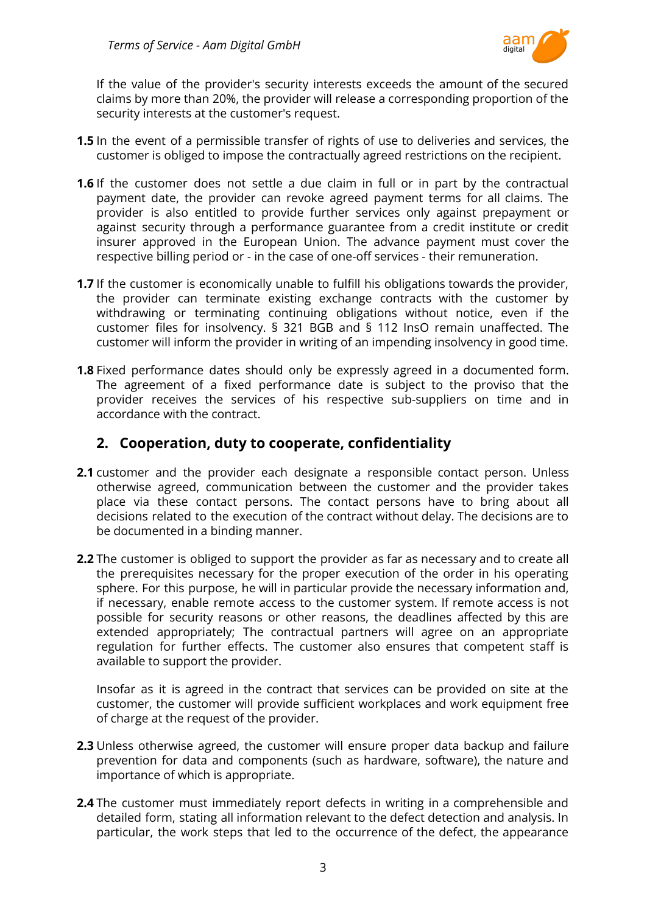

If the value of the provider's security interests exceeds the amount of the secured claims by more than 20%, the provider will release a corresponding proportion of the security interests at the customer's request.

- **1.5** In the event of a permissible transfer of rights of use to deliveries and services, the customer is obliged to impose the contractually agreed restrictions on the recipient.
- **1.6** If the customer does not settle a due claim in full or in part by the contractual payment date, the provider can revoke agreed payment terms for all claims. The provider is also entitled to provide further services only against prepayment or against security through a performance guarantee from a credit institute or credit insurer approved in the European Union. The advance payment must cover the respective billing period or - in the case of one-off services - their remuneration.
- **1.7** If the customer is economically unable to fulfill his obligations towards the provider, the provider can terminate existing exchange contracts with the customer by withdrawing or terminating continuing obligations without notice, even if the customer files for insolvency. § 321 BGB and § 112 InsO remain unaffected. The customer will inform the provider in writing of an impending insolvency in good time.
- **1.8** Fixed performance dates should only be expressly agreed in a documented form. The agreement of a fixed performance date is subject to the proviso that the provider receives the services of his respective sub-suppliers on time and in accordance with the contract.

#### <span id="page-2-0"></span>**2. Cooperation, duty to cooperate, confidentiality**

- **2.1** customer and the provider each designate a responsible contact person. Unless otherwise agreed, communication between the customer and the provider takes place via these contact persons. The contact persons have to bring about all decisions related to the execution of the contract without delay. The decisions are to be documented in a binding manner.
- **2.2** The customer is obliged to support the provider as far as necessary and to create all the prerequisites necessary for the proper execution of the order in his operating sphere. For this purpose, he will in particular provide the necessary information and, if necessary, enable remote access to the customer system. If remote access is not possible for security reasons or other reasons, the deadlines affected by this are extended appropriately; The contractual partners will agree on an appropriate regulation for further effects. The customer also ensures that competent staff is available to support the provider.

Insofar as it is agreed in the contract that services can be provided on site at the customer, the customer will provide sufficient workplaces and work equipment free of charge at the request of the provider.

- **2.3** Unless otherwise agreed, the customer will ensure proper data backup and failure prevention for data and components (such as hardware, software), the nature and importance of which is appropriate.
- **2.4** The customer must immediately report defects in writing in a comprehensible and detailed form, stating all information relevant to the defect detection and analysis. In particular, the work steps that led to the occurrence of the defect, the appearance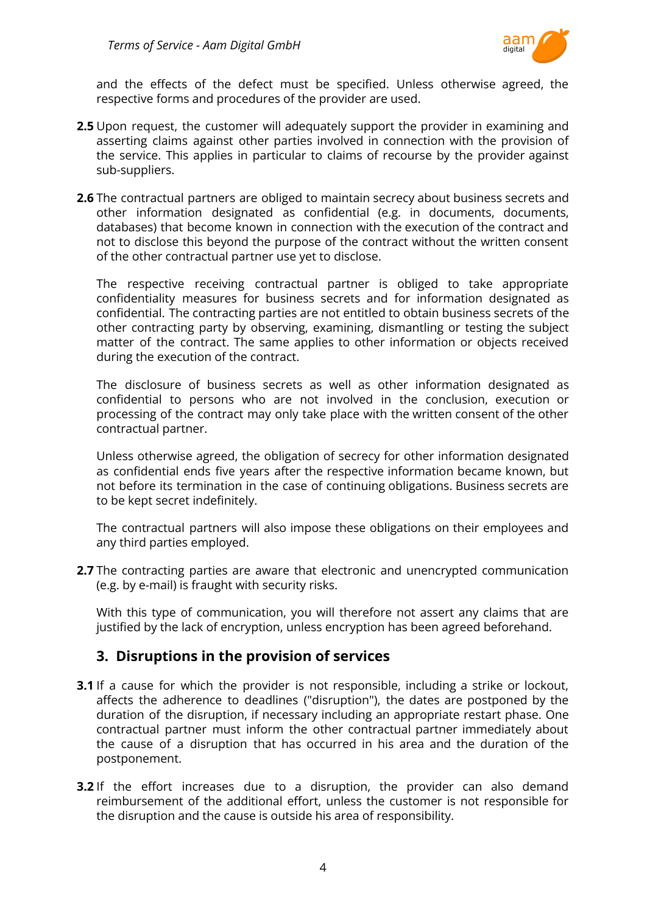

and the effects of the defect must be specified. Unless otherwise agreed, the respective forms and procedures of the provider are used.

- **2.5** Upon request, the customer will adequately support the provider in examining and asserting claims against other parties involved in connection with the provision of the service. This applies in particular to claims of recourse by the provider against sub-suppliers.
- **2.6** The contractual partners are obliged to maintain secrecy about business secrets and other information designated as confidential (e.g. in documents, documents, databases) that become known in connection with the execution of the contract and not to disclose this beyond the purpose of the contract without the written consent of the other contractual partner use yet to disclose.

The respective receiving contractual partner is obliged to take appropriate confidentiality measures for business secrets and for information designated as confidential. The contracting parties are not entitled to obtain business secrets of the other contracting party by observing, examining, dismantling or testing the subject matter of the contract. The same applies to other information or objects received during the execution of the contract.

The disclosure of business secrets as well as other information designated as confidential to persons who are not involved in the conclusion, execution or processing of the contract may only take place with the written consent of the other contractual partner.

Unless otherwise agreed, the obligation of secrecy for other information designated as confidential ends five years after the respective information became known, but not before its termination in the case of continuing obligations. Business secrets are to be kept secret indefinitely.

The contractual partners will also impose these obligations on their employees and any third parties employed.

**2.7** The contracting parties are aware that electronic and unencrypted communication (e.g. by e-mail) is fraught with security risks.

With this type of communication, you will therefore not assert any claims that are justified by the lack of encryption, unless encryption has been agreed beforehand.

#### <span id="page-3-0"></span>**3. Disruptions in the provision of services**

- **3.1** If a cause for which the provider is not responsible, including a strike or lockout, affects the adherence to deadlines ("disruption"), the dates are postponed by the duration of the disruption, if necessary including an appropriate restart phase. One contractual partner must inform the other contractual partner immediately about the cause of a disruption that has occurred in his area and the duration of the postponement.
- **3.2** If the effort increases due to a disruption, the provider can also demand reimbursement of the additional effort, unless the customer is not responsible for the disruption and the cause is outside his area of responsibility.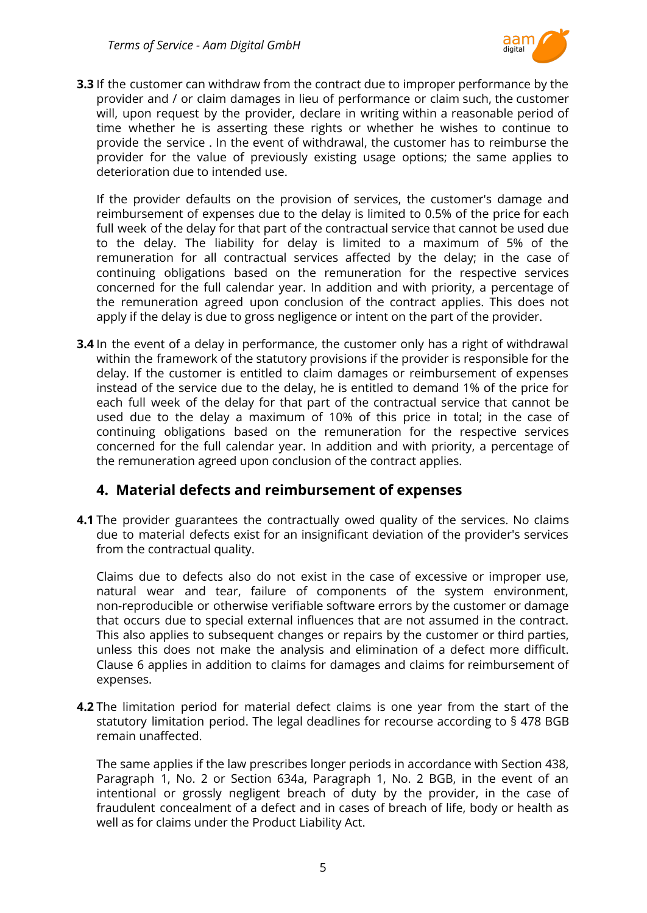

**3.3** If the customer can withdraw from the contract due to improper performance by the provider and / or claim damages in lieu of performance or claim such, the customer will, upon request by the provider, declare in writing within a reasonable period of time whether he is asserting these rights or whether he wishes to continue to provide the service . In the event of withdrawal, the customer has to reimburse the provider for the value of previously existing usage options; the same applies to deterioration due to intended use.

If the provider defaults on the provision of services, the customer's damage and reimbursement of expenses due to the delay is limited to 0.5% of the price for each full week of the delay for that part of the contractual service that cannot be used due to the delay. The liability for delay is limited to a maximum of 5% of the remuneration for all contractual services affected by the delay; in the case of continuing obligations based on the remuneration for the respective services concerned for the full calendar year. In addition and with priority, a percentage of the remuneration agreed upon conclusion of the contract applies. This does not apply if the delay is due to gross negligence or intent on the part of the provider.

**3.4** In the event of a delay in performance, the customer only has a right of withdrawal within the framework of the statutory provisions if the provider is responsible for the delay. If the customer is entitled to claim damages or reimbursement of expenses instead of the service due to the delay, he is entitled to demand 1% of the price for each full week of the delay for that part of the contractual service that cannot be used due to the delay a maximum of 10% of this price in total; in the case of continuing obligations based on the remuneration for the respective services concerned for the full calendar year. In addition and with priority, a percentage of the remuneration agreed upon conclusion of the contract applies.

#### <span id="page-4-0"></span>**4. Material defects and reimbursement of expenses**

**4.1** The provider guarantees the contractually owed quality of the services. No claims due to material defects exist for an insignificant deviation of the provider's services from the contractual quality.

Claims due to defects also do not exist in the case of excessive or improper use, natural wear and tear, failure of components of the system environment, non-reproducible or otherwise verifiable software errors by the customer or damage that occurs due to special external influences that are not assumed in the contract. This also applies to subsequent changes or repairs by the customer or third parties, unless this does not make the analysis and elimination of a defect more difficult. Clause 6 applies in addition to claims for damages and claims for reimbursement of expenses.

**4.2** The limitation period for material defect claims is one year from the start of the statutory limitation period. The legal deadlines for recourse according to § 478 BGB remain unaffected.

The same applies if the law prescribes longer periods in accordance with Section 438, Paragraph 1, No. 2 or Section 634a, Paragraph 1, No. 2 BGB, in the event of an intentional or grossly negligent breach of duty by the provider, in the case of fraudulent concealment of a defect and in cases of breach of life, body or health as well as for claims under the Product Liability Act.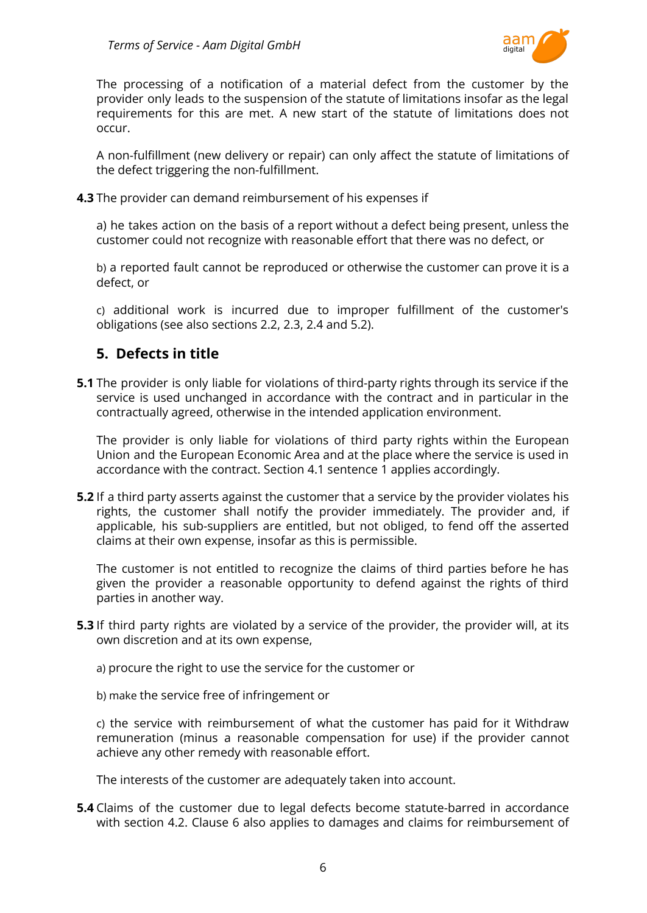

The processing of a notification of a material defect from the customer by the provider only leads to the suspension of the statute of limitations insofar as the legal requirements for this are met. A new start of the statute of limitations does not occur.

A non-fulfillment (new delivery or repair) can only affect the statute of limitations of the defect triggering the non-fulfillment.

**4.3** The provider can demand reimbursement of his expenses if

a) he takes action on the basis of a report without a defect being present, unless the customer could not recognize with reasonable effort that there was no defect, or

b) a reported fault cannot be reproduced or otherwise the customer can prove it is a defect, or

c) additional work is incurred due to improper fulfillment of the customer's obligations (see also sections 2.2, 2.3, 2.4 and 5.2).

## <span id="page-5-0"></span>**5. Defects in title**

**5.1** The provider is only liable for violations of third-party rights through its service if the service is used unchanged in accordance with the contract and in particular in the contractually agreed, otherwise in the intended application environment.

The provider is only liable for violations of third party rights within the European Union and the European Economic Area and at the place where the service is used in accordance with the contract. Section 4.1 sentence 1 applies accordingly.

**5.2** If a third party asserts against the customer that a service by the provider violates his rights, the customer shall notify the provider immediately. The provider and, if applicable, his sub-suppliers are entitled, but not obliged, to fend off the asserted claims at their own expense, insofar as this is permissible.

The customer is not entitled to recognize the claims of third parties before he has given the provider a reasonable opportunity to defend against the rights of third parties in another way.

**5.3** If third party rights are violated by a service of the provider, the provider will, at its own discretion and at its own expense,

a) procure the right to use the service for the customer or

b) make the service free of infringement or

c) the service with reimbursement of what the customer has paid for it Withdraw remuneration (minus a reasonable compensation for use) if the provider cannot achieve any other remedy with reasonable effort.

The interests of the customer are adequately taken into account.

**5.4** Claims of the customer due to legal defects become statute-barred in accordance with section 4.2. Clause 6 also applies to damages and claims for reimbursement of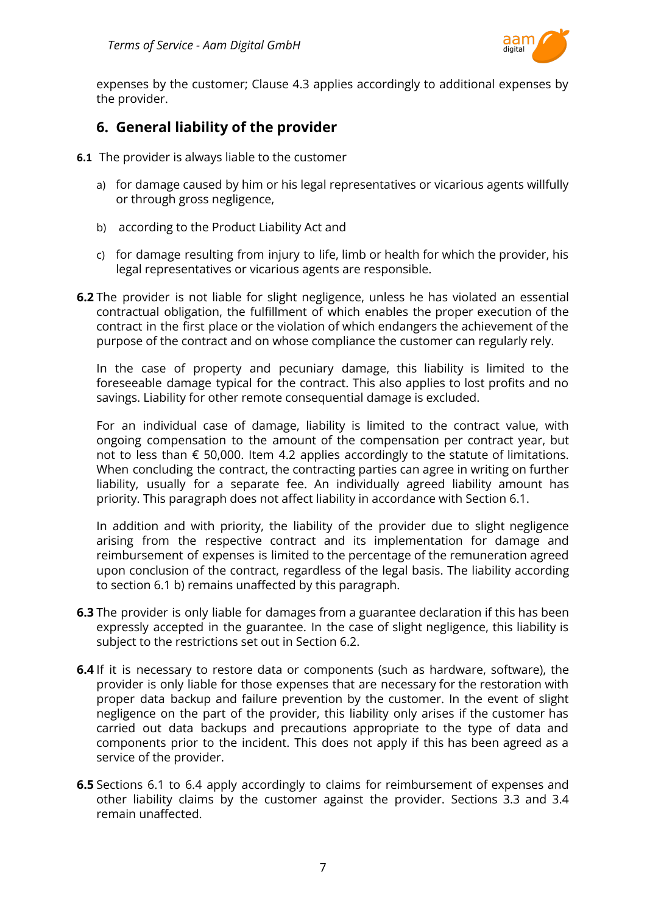

expenses by the customer; Clause 4.3 applies accordingly to additional expenses by the provider.

#### <span id="page-6-0"></span>**6. General liability of the provider**

- **6.1** The provider is always liable to the customer
	- a) for damage caused by him or his legal representatives or vicarious agents willfully or through gross negligence,
	- b) according to the Product Liability Act and
	- c) for damage resulting from injury to life, limb or health for which the provider, his legal representatives or vicarious agents are responsible.
- **6.2** The provider is not liable for slight negligence, unless he has violated an essential contractual obligation, the fulfillment of which enables the proper execution of the contract in the first place or the violation of which endangers the achievement of the purpose of the contract and on whose compliance the customer can regularly rely.

In the case of property and pecuniary damage, this liability is limited to the foreseeable damage typical for the contract. This also applies to lost profits and no savings. Liability for other remote consequential damage is excluded.

For an individual case of damage, liability is limited to the contract value, with ongoing compensation to the amount of the compensation per contract year, but not to less than  $\epsilon$  50,000. Item 4.2 applies accordingly to the statute of limitations. When concluding the contract, the contracting parties can agree in writing on further liability, usually for a separate fee. An individually agreed liability amount has priority. This paragraph does not affect liability in accordance with Section 6.1.

In addition and with priority, the liability of the provider due to slight negligence arising from the respective contract and its implementation for damage and reimbursement of expenses is limited to the percentage of the remuneration agreed upon conclusion of the contract, regardless of the legal basis. The liability according to section 6.1 b) remains unaffected by this paragraph.

- **6.3** The provider is only liable for damages from a guarantee declaration if this has been expressly accepted in the guarantee. In the case of slight negligence, this liability is subject to the restrictions set out in Section 6.2.
- **6.4** If it is necessary to restore data or components (such as hardware, software), the provider is only liable for those expenses that are necessary for the restoration with proper data backup and failure prevention by the customer. In the event of slight negligence on the part of the provider, this liability only arises if the customer has carried out data backups and precautions appropriate to the type of data and components prior to the incident. This does not apply if this has been agreed as a service of the provider.
- **6.5** Sections 6.1 to 6.4 apply accordingly to claims for reimbursement of expenses and other liability claims by the customer against the provider. Sections 3.3 and 3.4 remain unaffected.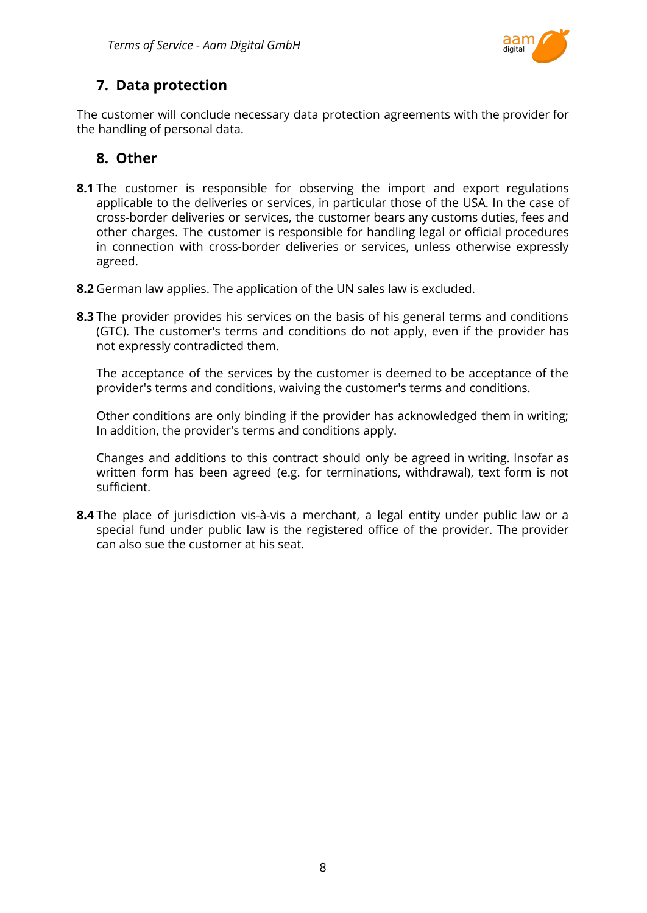

# <span id="page-7-0"></span>**7. Data protection**

The customer will conclude necessary data protection agreements with the provider for the handling of personal data.

# <span id="page-7-1"></span>**8. Other**

- **8.1** The customer is responsible for observing the import and export regulations applicable to the deliveries or services, in particular those of the USA. In the case of cross-border deliveries or services, the customer bears any customs duties, fees and other charges. The customer is responsible for handling legal or official procedures in connection with cross-border deliveries or services, unless otherwise expressly agreed.
- **8.2** German law applies. The application of the UN sales law is excluded.
- **8.3** The provider provides his services on the basis of his general terms and conditions (GTC). The customer's terms and conditions do not apply, even if the provider has not expressly contradicted them.

The acceptance of the services by the customer is deemed to be acceptance of the provider's terms and conditions, waiving the customer's terms and conditions.

Other conditions are only binding if the provider has acknowledged them in writing; In addition, the provider's terms and conditions apply.

Changes and additions to this contract should only be agreed in writing. Insofar as written form has been agreed (e.g. for terminations, withdrawal), text form is not sufficient.

**8.4** The place of jurisdiction vis-à-vis a merchant, a legal entity under public law or a special fund under public law is the registered office of the provider. The provider can also sue the customer at his seat.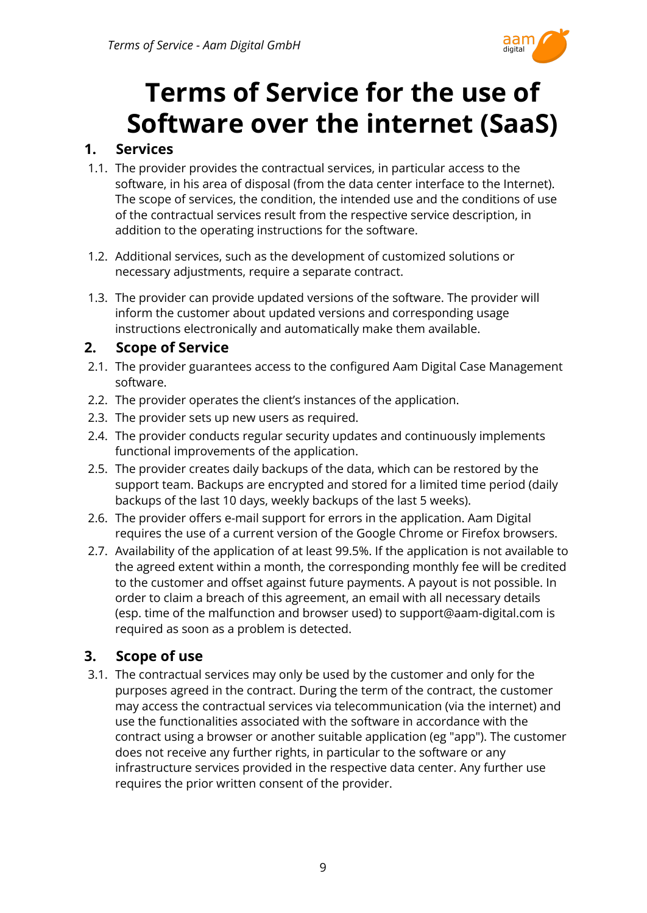

# **Terms of Service for the use of Software over the internet (SaaS)**

## <span id="page-8-1"></span><span id="page-8-0"></span>**1. Services**

- 1.1. The provider provides the contractual services, in particular access to the software, in his area of disposal (from the data center interface to the Internet). The scope of services, the condition, the intended use and the conditions of use of the contractual services result from the respective service description, in addition to the operating instructions for the software.
- 1.2. Additional services, such as the development of customized solutions or necessary adjustments, require a separate contract.
- 1.3. The provider can provide updated versions of the software. The provider will inform the customer about updated versions and corresponding usage instructions electronically and automatically make them available.

## <span id="page-8-2"></span>**2. Scope of Service**

- 2.1. The provider guarantees access to the configured Aam Digital Case Management software.
- 2.2. The provider operates the client's instances of the application.
- 2.3. The provider sets up new users as required.
- 2.4. The provider conducts regular security updates and continuously implements functional improvements of the application.
- 2.5. The provider creates daily backups of the data, which can be restored by the support team. Backups are encrypted and stored for a limited time period (daily backups of the last 10 days, weekly backups of the last 5 weeks).
- 2.6. The provider offers e-mail support for errors in the application. Aam Digital requires the use of a current version of the Google Chrome or Firefox browsers.
- 2.7. Availability of the application of at least 99.5%. If the application is not available to the agreed extent within a month, the corresponding monthly fee will be credited to the customer and offset against future payments. A payout is not possible. In order to claim a breach of this agreement, an email with all necessary details (esp. time of the malfunction and browser used) to support@aam-digital.com is required as soon as a problem is detected.

# <span id="page-8-3"></span>**3. Scope of use**

3.1. The contractual services may only be used by the customer and only for the purposes agreed in the contract. During the term of the contract, the customer may access the contractual services via telecommunication (via the internet) and use the functionalities associated with the software in accordance with the contract using a browser or another suitable application (eg "app"). The customer does not receive any further rights, in particular to the software or any infrastructure services provided in the respective data center. Any further use requires the prior written consent of the provider.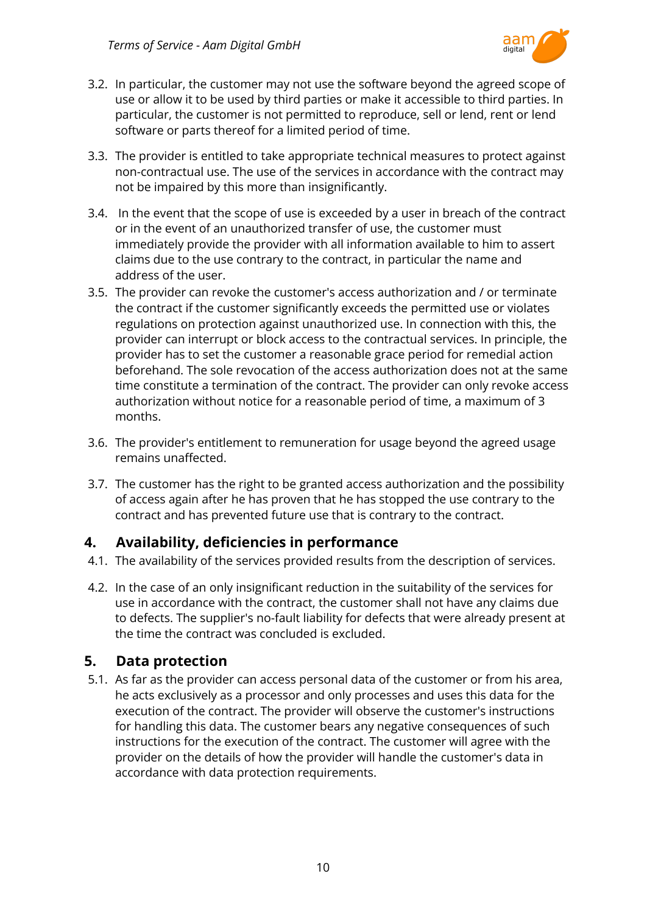

- 3.2. In particular, the customer may not use the software beyond the agreed scope of use or allow it to be used by third parties or make it accessible to third parties. In particular, the customer is not permitted to reproduce, sell or lend, rent or lend software or parts thereof for a limited period of time.
- 3.3. The provider is entitled to take appropriate technical measures to protect against non-contractual use. The use of the services in accordance with the contract may not be impaired by this more than insignificantly.
- 3.4. In the event that the scope of use is exceeded by a user in breach of the contract or in the event of an unauthorized transfer of use, the customer must immediately provide the provider with all information available to him to assert claims due to the use contrary to the contract, in particular the name and address of the user.
- 3.5. The provider can revoke the customer's access authorization and / or terminate the contract if the customer significantly exceeds the permitted use or violates regulations on protection against unauthorized use. In connection with this, the provider can interrupt or block access to the contractual services. In principle, the provider has to set the customer a reasonable grace period for remedial action beforehand. The sole revocation of the access authorization does not at the same time constitute a termination of the contract. The provider can only revoke access authorization without notice for a reasonable period of time, a maximum of 3 months.
- 3.6. The provider's entitlement to remuneration for usage beyond the agreed usage remains unaffected.
- 3.7. The customer has the right to be granted access authorization and the possibility of access again after he has proven that he has stopped the use contrary to the contract and has prevented future use that is contrary to the contract.

## <span id="page-9-0"></span>**4. Availability, deficiencies in performance**

- 4.1. The availability of the services provided results from the description of services.
- 4.2. In the case of an only insignificant reduction in the suitability of the services for use in accordance with the contract, the customer shall not have any claims due to defects. The supplier's no-fault liability for defects that were already present at the time the contract was concluded is excluded.

#### <span id="page-9-1"></span>**5. Data protection**

5.1. As far as the provider can access personal data of the customer or from his area, he acts exclusively as a processor and only processes and uses this data for the execution of the contract. The provider will observe the customer's instructions for handling this data. The customer bears any negative consequences of such instructions for the execution of the contract. The customer will agree with the provider on the details of how the provider will handle the customer's data in accordance with data protection requirements.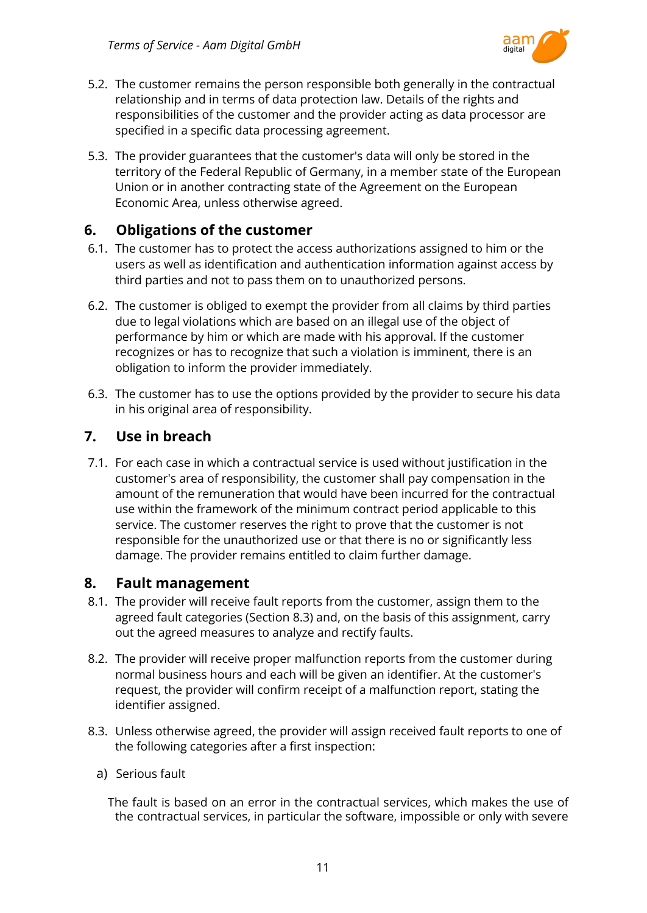

- 5.2. The customer remains the person responsible both generally in the contractual relationship and in terms of data protection law. Details of the rights and responsibilities of the customer and the provider acting as data processor are specified in a specific data processing agreement.
- 5.3. The provider guarantees that the customer's data will only be stored in the territory of the Federal Republic of Germany, in a member state of the European Union or in another contracting state of the Agreement on the European Economic Area, unless otherwise agreed.

#### <span id="page-10-0"></span>**6. Obligations of the customer**

- 6.1. The customer has to protect the access authorizations assigned to him or the users as well as identification and authentication information against access by third parties and not to pass them on to unauthorized persons.
- 6.2. The customer is obliged to exempt the provider from all claims by third parties due to legal violations which are based on an illegal use of the object of performance by him or which are made with his approval. If the customer recognizes or has to recognize that such a violation is imminent, there is an obligation to inform the provider immediately.
- 6.3. The customer has to use the options provided by the provider to secure his data in his original area of responsibility.

#### <span id="page-10-1"></span>**7. Use in breach**

7.1. For each case in which a contractual service is used without justification in the customer's area of responsibility, the customer shall pay compensation in the amount of the remuneration that would have been incurred for the contractual use within the framework of the minimum contract period applicable to this service. The customer reserves the right to prove that the customer is not responsible for the unauthorized use or that there is no or significantly less damage. The provider remains entitled to claim further damage.

#### <span id="page-10-2"></span>**8. Fault management**

- 8.1. The provider will receive fault reports from the customer, assign them to the agreed fault categories (Section 8.3) and, on the basis of this assignment, carry out the agreed measures to analyze and rectify faults.
- 8.2. The provider will receive proper malfunction reports from the customer during normal business hours and each will be given an identifier. At the customer's request, the provider will confirm receipt of a malfunction report, stating the identifier assigned.
- 8.3. Unless otherwise agreed, the provider will assign received fault reports to one of the following categories after a first inspection:
	- a) Serious fault

The fault is based on an error in the contractual services, which makes the use of the contractual services, in particular the software, impossible or only with severe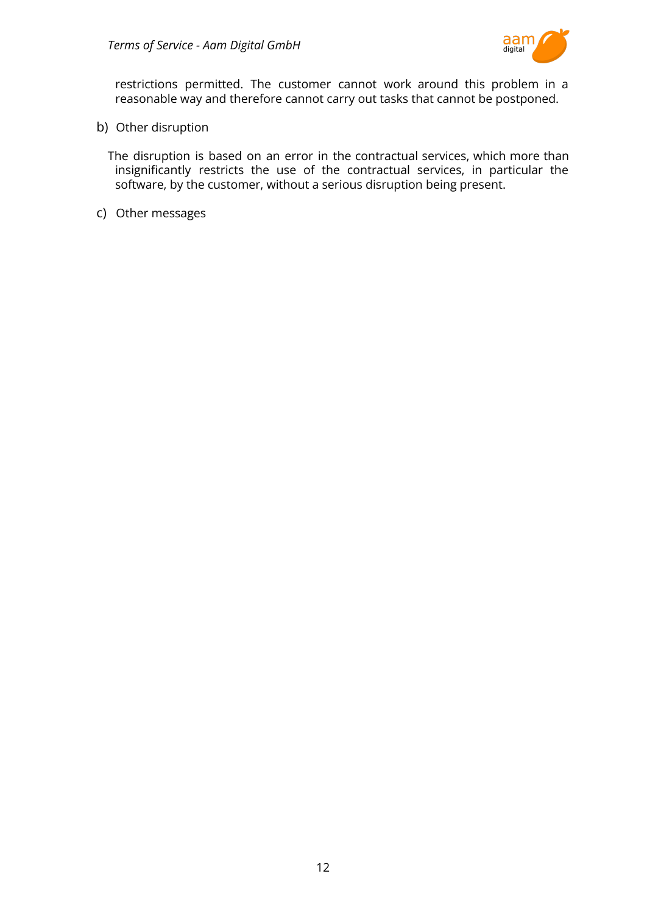

restrictions permitted. The customer cannot work around this problem in a reasonable way and therefore cannot carry out tasks that cannot be postponed.

b) Other disruption

The disruption is based on an error in the contractual services, which more than insignificantly restricts the use of the contractual services, in particular the software, by the customer, without a serious disruption being present.

c) Other messages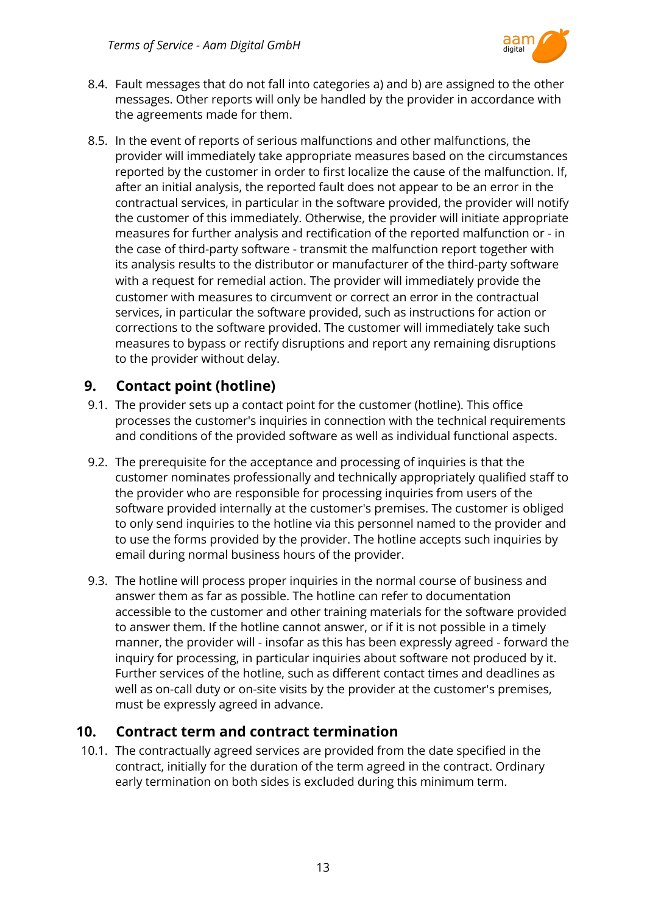

- 8.4. Fault messages that do not fall into categories a) and b) are assigned to the other messages. Other reports will only be handled by the provider in accordance with the agreements made for them.
- 8.5. In the event of reports of serious malfunctions and other malfunctions, the provider will immediately take appropriate measures based on the circumstances reported by the customer in order to first localize the cause of the malfunction. If, after an initial analysis, the reported fault does not appear to be an error in the contractual services, in particular in the software provided, the provider will notify the customer of this immediately. Otherwise, the provider will initiate appropriate measures for further analysis and rectification of the reported malfunction or - in the case of third-party software - transmit the malfunction report together with its analysis results to the distributor or manufacturer of the third-party software with a request for remedial action. The provider will immediately provide the customer with measures to circumvent or correct an error in the contractual services, in particular the software provided, such as instructions for action or corrections to the software provided. The customer will immediately take such measures to bypass or rectify disruptions and report any remaining disruptions to the provider without delay.

## <span id="page-12-0"></span>**9. Contact point (hotline)**

- 9.1. The provider sets up a contact point for the customer (hotline). This office processes the customer's inquiries in connection with the technical requirements and conditions of the provided software as well as individual functional aspects.
- 9.2. The prerequisite for the acceptance and processing of inquiries is that the customer nominates professionally and technically appropriately qualified staff to the provider who are responsible for processing inquiries from users of the software provided internally at the customer's premises. The customer is obliged to only send inquiries to the hotline via this personnel named to the provider and to use the forms provided by the provider. The hotline accepts such inquiries by email during normal business hours of the provider.
- 9.3. The hotline will process proper inquiries in the normal course of business and answer them as far as possible. The hotline can refer to documentation accessible to the customer and other training materials for the software provided to answer them. If the hotline cannot answer, or if it is not possible in a timely manner, the provider will - insofar as this has been expressly agreed - forward the inquiry for processing, in particular inquiries about software not produced by it. Further services of the hotline, such as different contact times and deadlines as well as on-call duty or on-site visits by the provider at the customer's premises, must be expressly agreed in advance.

## <span id="page-12-1"></span>**10. Contract term and contract termination**

10.1. The contractually agreed services are provided from the date specified in the contract, initially for the duration of the term agreed in the contract. Ordinary early termination on both sides is excluded during this minimum term.